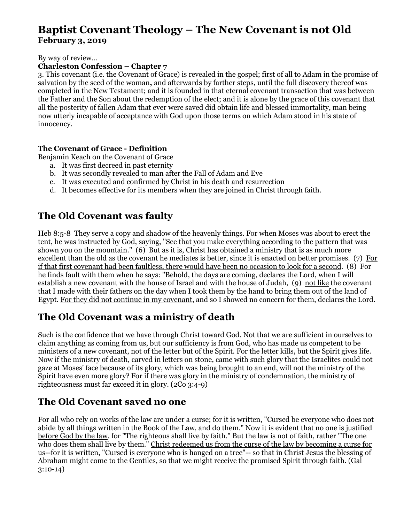# **Baptist Covenant Theology – The New Covenant is not Old February 3, 2019**

#### By way of review…

### **Charleston Confession – Chapter 7**

3. This covenant (i.e. the Covenant of Grace) is revealed in the gospel; first of all to Adam in the promise of salvation by the seed of the woman**,** and afterwards by farther steps, until the full discovery thereof was completed in the New Testament; and it is founded in that eternal covenant transaction that was between the Father and the Son about the redemption of the elect; and it is alone by the grace of this covenant that all the posterity of fallen Adam that ever were saved did obtain life and blessed immortality, man being now utterly incapable of acceptance with God upon those terms on which Adam stood in his state of innocency.

### **The Covenant of Grace - Definition**

Benjamin Keach on the Covenant of Grace

- a. It was first decreed in past eternity
- b. It was secondly revealed to man after the Fall of Adam and Eve
- c. It was executed and confirmed by Christ in his death and resurrection
- d. It becomes effective for its members when they are joined in Christ through faith.

## **The Old Covenant was faulty**

Heb 8:5-8 They serve a copy and shadow of the heavenly things. For when Moses was about to erect the tent, he was instructed by God, saying, "See that you make everything according to the pattern that was shown you on the mountain." (6) But as it is, Christ has obtained a ministry that is as much more excellent than the old as the covenant he mediates is better, since it is enacted on better promises. (7) For if that first covenant had been faultless, there would have been no occasion to look for a second. (8) For he finds fault with them when he says: "Behold, the days are coming, declares the Lord, when I will establish a new covenant with the house of Israel and with the house of Judah, (9) not like the covenant that I made with their fathers on the day when I took them by the hand to bring them out of the land of Egypt. For they did not continue in my covenant, and so I showed no concern for them, declares the Lord.

## **The Old Covenant was a ministry of death**

Such is the confidence that we have through Christ toward God. Not that we are sufficient in ourselves to claim anything as coming from us, but our sufficiency is from God, who has made us competent to be ministers of a new covenant, not of the letter but of the Spirit. For the letter kills, but the Spirit gives life. Now if the ministry of death, carved in letters on stone, came with such glory that the Israelites could not gaze at Moses' face because of its glory, which was being brought to an end, will not the ministry of the Spirit have even more glory? For if there was glory in the ministry of condemnation, the ministry of righteousness must far exceed it in glory. (2Co 3:4-9)

## **The Old Covenant saved no one**

For all who rely on works of the law are under a curse; for it is written, "Cursed be everyone who does not abide by all things written in the Book of the Law, and do them." Now it is evident that no one is justified before God by the law, for "The righteous shall live by faith." But the law is not of faith, rather "The one who does them shall live by them." Christ redeemed us from the curse of the law by becoming a curse for us--for it is written, "Cursed is everyone who is hanged on a tree"-- so that in Christ Jesus the blessing of Abraham might come to the Gentiles, so that we might receive the promised Spirit through faith. (Gal 3:10-14)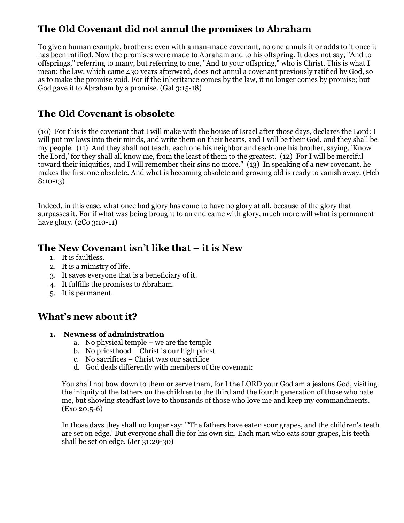# **The Old Covenant did not annul the promises to Abraham**

To give a human example, brothers: even with a man-made covenant, no one annuls it or adds to it once it has been ratified. Now the promises were made to Abraham and to his offspring. It does not say, "And to offsprings," referring to many, but referring to one, "And to your offspring," who is Christ. This is what I mean: the law, which came 430 years afterward, does not annul a covenant previously ratified by God, so as to make the promise void. For if the inheritance comes by the law, it no longer comes by promise; but God gave it to Abraham by a promise. (Gal 3:15-18)

# **The Old Covenant is obsolete**

(10) For this is the covenant that I will make with the house of Israel after those days, declares the Lord: I will put my laws into their minds, and write them on their hearts, and I will be their God, and they shall be my people. (11) And they shall not teach, each one his neighbor and each one his brother, saying, 'Know the Lord,' for they shall all know me, from the least of them to the greatest. (12) For I will be merciful toward their iniquities, and I will remember their sins no more." (13) In speaking of a new covenant, he makes the first one obsolete. And what is becoming obsolete and growing old is ready to vanish away. (Heb 8:10-13)

Indeed, in this case, what once had glory has come to have no glory at all, because of the glory that surpasses it. For if what was being brought to an end came with glory, much more will what is permanent have glory. (2Co 3:10-11)

## **The New Covenant isn't like that – it is New**

- 1. It is faultless.
- 2. It is a ministry of life.
- 3. It saves everyone that is a beneficiary of it.
- 4. It fulfills the promises to Abraham.
- 5. It is permanent.

## **What's new about it?**

- **1. Newness of administration** 
	- a. No physical temple we are the temple
	- b. No priesthood Christ is our high priest
	- c. No sacrifices Christ was our sacrifice
	- d. God deals differently with members of the covenant:

You shall not bow down to them or serve them, for I the LORD your God am a jealous God, visiting the iniquity of the fathers on the children to the third and the fourth generation of those who hate me, but showing steadfast love to thousands of those who love me and keep my commandments. (Exo 20:5-6)

In those days they shall no longer say: "'The fathers have eaten sour grapes, and the children's teeth are set on edge.' But everyone shall die for his own sin. Each man who eats sour grapes, his teeth shall be set on edge. (Jer 31:29-30)